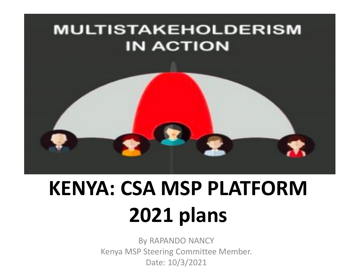#### **MULTISTAKEHOLDERISM IN ACTION**



# **KENYA: CSA MSP PLATFORM 2021 plans**

By RAPANDO NANCY Kenya MSP Steering Committee Member. Date: 10/3/2021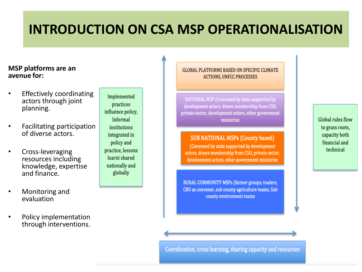#### **INTRODUCTION ON CSA MSP OPERATIONALISATION**

#### **MSP platforms are an avenue for:**

- **Effectively coordinating** actors through joint planning.
- Facilitating participation of diverse actors.
- Cross-leveraging resources including knowledge, expertise and finance.
- Monitoring and evaluation
- Policy implementation through interventions.

Implemented practices influence policy, Informal institutions integrated in policy and practice, lessons learnt shared nationally and globally

**GLOBAL PLATFORMS BASED ON SPECIFIC CLIMATE ACTIONS, UNFCC PROCESSES** 

NATIONAL MSP (Convened by state supported by development actors, draws membership from CSO, private sector, development actors, other government ministries

**SUB NATIONAL MSPs (County based)** 

(Convened by state supported by development actors, draws membership from CSO, private sector, development actors, other government ministries

RURAL COMMUNITY MSPs (farmer groups, traders, CBO as convener, sub county agriculture teams, Sub county environment teams

Global rules flow to grass roots, capacity both financial and technical

Coordination, cross learning, sharing capacity and resources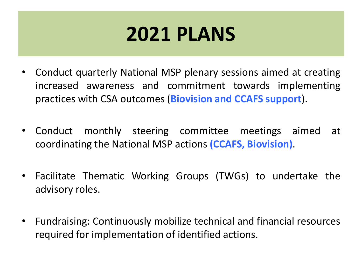### **2021 PLANS**

- Conduct quarterly National MSP plenary sessions aimed at creating increased awareness and commitment towards implementing practices with CSA outcomes(**Biovision and CCAFS support**).
- Conduct monthly steering committee meetings aimed at coordinating the National MSP actions **(CCAFS, Biovision)**.
- Facilitate Thematic Working Groups (TWGs) to undertake the advisory roles.
- Fundraising: Continuously mobilize technical and financial resources required for implementation of identified actions.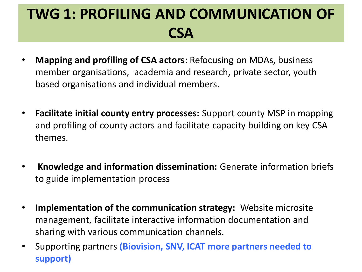#### **TWG 1: PROFILING AND COMMUNICATION OF CSA**

- **Mapping and profiling of CSA actors**: Refocusing on MDAs, business member organisations, academia and research, private sector, youth based organisations and individual members.
- **Facilitate initial county entry processes:** Support county MSP in mapping and profiling of county actors and facilitate capacity building on key CSA themes.
- **Knowledge and information dissemination:** Generate information briefs to guide implementation process
- **Implementation of the communication strategy:** Website microsite management, facilitate interactive information documentation and sharing with various communication channels.
- Supporting partners **(Biovision, SNV, ICAT more partners needed to support)**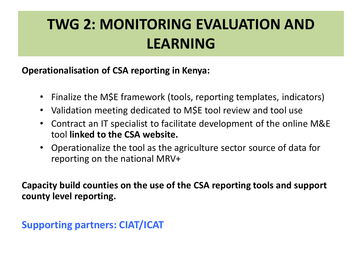#### **TWG 2: MONITORING EVALUATION AND LEARNING**

**Operationalisation of CSA reporting in Kenya:**

- Finalize the M\$E framework (tools, reporting templates, indicators)
- Validation meeting dedicated to M\$E tool review and tool use
- Contract an IT specialist to facilitate development of the online M&E tool **linked to the CSA website.**
- Operationalize the tool as the agriculture sector source of data for reporting on the national MRV+

**Capacity build counties on the use of the CSA reporting tools and support county level reporting.**

**Supporting partners: CIAT/ICAT**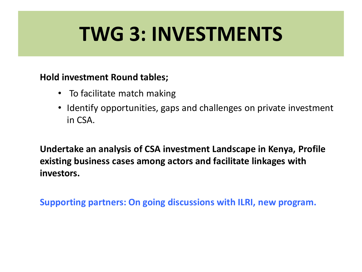## **TWG 3: INVESTMENTS**

#### **Hold investment Round tables;**

- To facilitate match making
- Identify opportunities, gaps and challenges on private investment in CSA.

**Undertake an analysis of CSA investment Landscape in Kenya, Profile existing business cases among actors and facilitate linkages with investors.**

**Supporting partners: On going discussions with ILRI, new program.**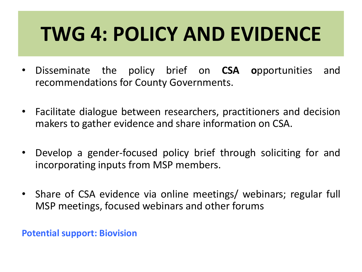# **TWG 4: POLICY AND EVIDENCE**

- Disseminate the policy brief on **CSA o**pportunities and recommendations for County Governments.
- Facilitate dialogue between researchers, practitioners and decision makers to gather evidence and share information on CSA.
- Develop a gender-focused policy brief through soliciting for and incorporating inputs from MSP members.
- Share of CSA evidence via online meetings/ webinars; regular full MSP meetings, focused webinars and other forums

**Potential support: Biovision**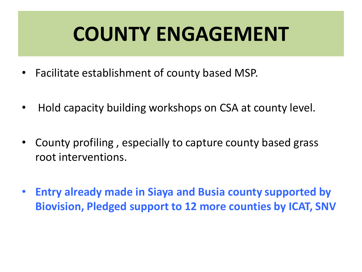## **COUNTY ENGAGEMENT**

- Facilitate establishment of county based MSP.
- Hold capacity building workshops on CSA at county level.
- County profiling , especially to capture county based grass root interventions.
- **Entry already made in Siaya and Busia county supported by Biovision, Pledged support to 12 more counties by ICAT, SNV**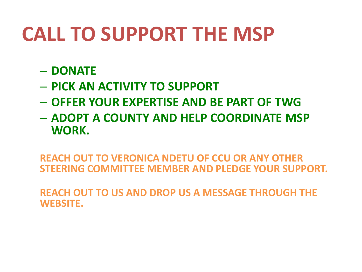# **CALL TO SUPPORT THE MSP**

- **DONATE**
- **PICK AN ACTIVITY TO SUPPORT**
- **OFFER YOUR EXPERTISE AND BE PART OF TWG**
- **ADOPT A COUNTY AND HELP COORDINATE MSP WORK.**

**REACH OUT TO VERONICA NDETU OF CCU OR ANY OTHER STEERING COMMITTEE MEMBER AND PLEDGE YOUR SUPPORT.** 

**REACH OUT TO US AND DROP US A MESSAGE THROUGH THE WEBSITE.**